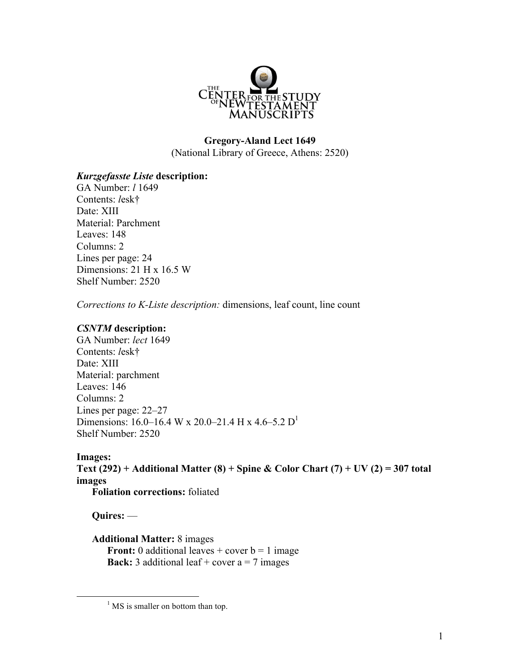

#### **Gregory-Aland Lect 1649** (National Library of Greece, Athens: 2520)

## *Kurzgefasste Liste* **description:**

GA Number: *l* 1649 Contents: *l*esk† Date: XIII Material: Parchment Leaves: 148 Columns: 2 Lines per page: 24 Dimensions: 21 H x 16.5 W Shelf Number: 2520

*Corrections to K-Liste description:* dimensions, leaf count, line count

## *CSNTM* **description:**

GA Number: *lect* 1649 Contents: *l*esk† Date: XIII Material: parchment Leaves: 146 Columns: 2 Lines per page: 22–27 Dimensions: 16.0–16.4 W x 20.0–21.4 H x 4.6–5.2  $D^1$ Shelf Number: 2520

**Images: Text (292) + Additional Matter (8) + Spine & Color Chart (7) + UV (2) = 307 total images Foliation corrections:** foliated

**Quires:** —

**Additional Matter:** 8 images **Front:** 0 additional leaves  $+$  cover  $b = 1$  image **Back:** 3 additional leaf + cover  $a = 7$  images

 $<sup>1</sup>$  MS is smaller on bottom than top.</sup>